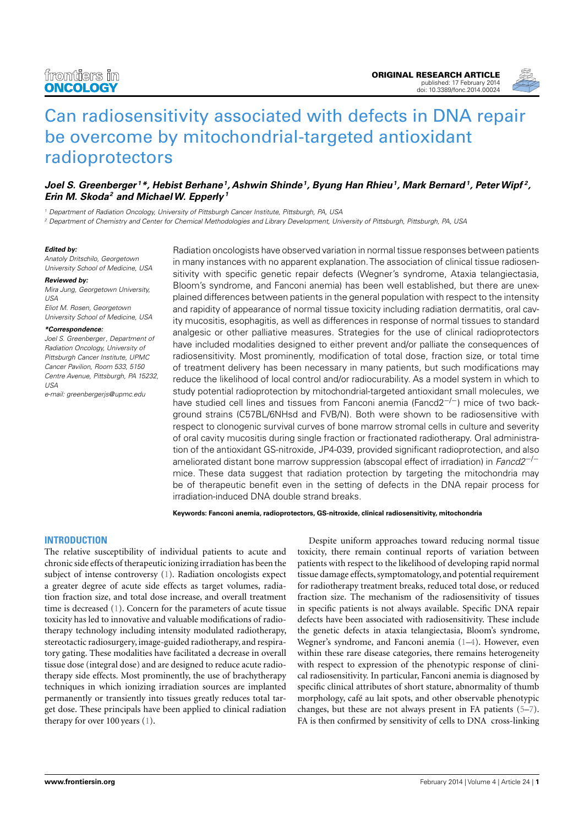

# [Can radiosensitivity associated with defects in DNA repair](http://www.frontiersin.org/Journal/10.3389/fonc.2014.00024/abstract) [be overcome by mitochondrial-targeted antioxidant](http://www.frontiersin.org/Journal/10.3389/fonc.2014.00024/abstract) [radioprotectors](http://www.frontiersin.org/Journal/10.3389/fonc.2014.00024/abstract)

# **[Joel S. Greenberger](http://www.frontiersin.org/people/u/27176) <sup>1</sup>\*, [Hebist Berhane](http://www.frontiersin.org/people/u/133695)<sup>1</sup> , [Ashwin Shinde](http://www.frontiersin.org/people/u/136449)<sup>1</sup> , Byung Han Rhieu<sup>1</sup> , Mark Bernard<sup>1</sup> , [PeterWipf](http://www.frontiersin.org/people/u/130408) <sup>2</sup> , [Erin M. Skoda](http://www.frontiersin.org/people/u/130035)<sup>2</sup> and [MichaelW. Epperly](http://www.frontiersin.org/people/u/42252) <sup>1</sup>**

<sup>1</sup> Department of Radiation Oncology, University of Pittsburgh Cancer Institute, Pittsburgh, PA, USA

<sup>2</sup> Department of Chemistry and Center for Chemical Methodologies and Library Development, University of Pittsburgh, Pittsburgh, PA, USA

#### **Edited by:**

Anatoly Dritschilo, Georgetown University School of Medicine, USA

#### **Reviewed by:**

Mira Jung, Georgetown University, USA Eliot M. Rosen, Georgetown University School of Medicine, USA

#### **\*Correspondence:**

Joel S. Greenberger, Department of Radiation Oncology, University of Pittsburgh Cancer Institute, UPMC Cancer Pavilion, Room 533, 5150 Centre Avenue, Pittsburgh, PA 15232, USA

e-mail: [greenbergerjs@upmc.edu](mailto:greenbergerjs@upmc.edu)

Radiation oncologists have observed variation in normal tissue responses between patients in many instances with no apparent explanation.The association of clinical tissue radiosensitivity with specific genetic repair defects (Wegner's syndrome, Ataxia telangiectasia, Bloom's syndrome, and Fanconi anemia) has been well established, but there are unexplained differences between patients in the general population with respect to the intensity and rapidity of appearance of normal tissue toxicity including radiation dermatitis, oral cavity mucositis, esophagitis, as well as differences in response of normal tissues to standard analgesic or other palliative measures. Strategies for the use of clinical radioprotectors have included modalities designed to either prevent and/or palliate the consequences of radiosensitivity. Most prominently, modification of total dose, fraction size, or total time of treatment delivery has been necessary in many patients, but such modifications may reduce the likelihood of local control and/or radiocurability. As a model system in which to study potential radioprotection by mitochondrial-targeted antioxidant small molecules, we have studied cell lines and tissues from Fanconi anemia (Fancd2<sup>-/-</sup>) mice of two background strains (C57BL/6NHsd and FVB/N). Both were shown to be radiosensitive with respect to clonogenic survival curves of bone marrow stromal cells in culture and severity of oral cavity mucositis during single fraction or fractionated radiotherapy. Oral administration of the antioxidant GS-nitroxide, JP4-039, provided significant radioprotection, and also ameliorated distant bone marrow suppression (abscopal effect of irradiation) in Fancd2<sup>-/-</sup> mice. These data suggest that radiation protection by targeting the mitochondria may be of therapeutic benefit even in the setting of defects in the DNA repair process for irradiation-induced DNA double strand breaks.

**Keywords: Fanconi anemia, radioprotectors, GS-nitroxide, clinical radiosensitivity, mitochondria**

## **INTRODUCTION**

The relative susceptibility of individual patients to acute and chronic side effects of therapeutic ionizing irradiation has been the subject of intense controversy [\(1\)](#page-7-0). Radiation oncologists expect a greater degree of acute side effects as target volumes, radiation fraction size, and total dose increase, and overall treatment time is decreased [\(1\)](#page-7-0). Concern for the parameters of acute tissue toxicity has led to innovative and valuable modifications of radiotherapy technology including intensity modulated radiotherapy, stereotactic radiosurgery, image-guided radiotherapy, and respiratory gating. These modalities have facilitated a decrease in overall tissue dose (integral dose) and are designed to reduce acute radiotherapy side effects. Most prominently, the use of brachytherapy techniques in which ionizing irradiation sources are implanted permanently or transiently into tissues greatly reduces total target dose. These principals have been applied to clinical radiation therapy for over 100 years [\(1\)](#page-7-0).

Despite uniform approaches toward reducing normal tissue toxicity, there remain continual reports of variation between patients with respect to the likelihood of developing rapid normal tissue damage effects, symptomatology, and potential requirement for radiotherapy treatment breaks, reduced total dose, or reduced fraction size. The mechanism of the radiosensitivity of tissues in specific patients is not always available. Specific DNA repair defects have been associated with radiosensitivity. These include the genetic defects in ataxia telangiectasia, Bloom's syndrome, Wegner's syndrome, and Fanconi anemia [\(1](#page-7-0)[–4\)](#page-7-1). However, even within these rare disease categories, there remains heterogeneity with respect to expression of the phenotypic response of clinical radiosensitivity. In particular, Fanconi anemia is diagnosed by specific clinical attributes of short stature, abnormality of thumb morphology, café au lait spots, and other observable phenotypic changes, but these are not always present in FA patients [\(5–](#page-7-2)[7\)](#page-7-3). FA is then confirmed by sensitivity of cells to DNA cross-linking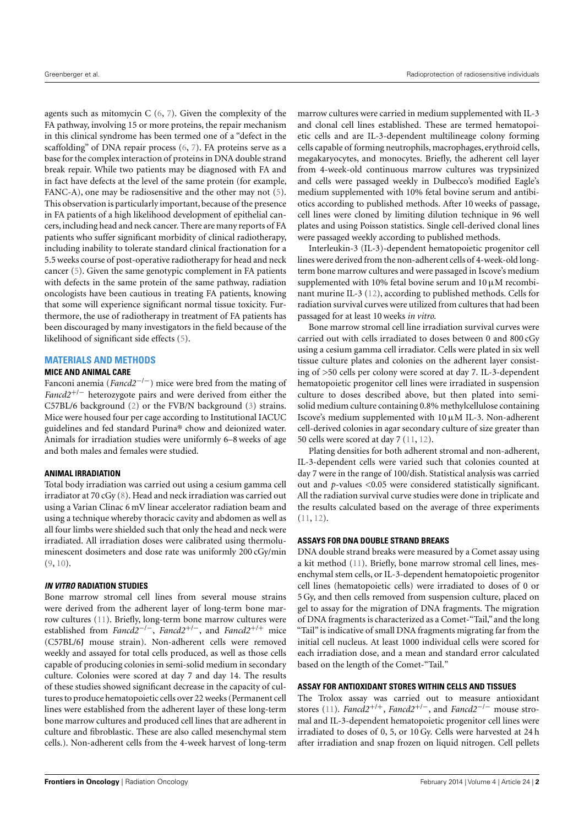agents such as mitomycin  $C(6, 7)$  $C(6, 7)$  $C(6, 7)$  $C(6, 7)$ . Given the complexity of the FA pathway, involving 15 or more proteins, the repair mechanism in this clinical syndrome has been termed one of a "defect in the scaffolding" of DNA repair process [\(6,](#page-7-4) [7\)](#page-7-3). FA proteins serve as a base for the complex interaction of proteins in DNA double strand break repair. While two patients may be diagnosed with FA and in fact have defects at the level of the same protein (for example, FANC-A), one may be radiosensitive and the other may not [\(5\)](#page-7-2). This observation is particularly important, because of the presence in FA patients of a high likelihood development of epithelial cancers, including head and neck cancer. There are many reports of FA patients who suffer significant morbidity of clinical radiotherapy, including inability to tolerate standard clinical fractionation for a 5.5 weeks course of post-operative radiotherapy for head and neck cancer [\(5\)](#page-7-2). Given the same genotypic complement in FA patients with defects in the same protein of the same pathway, radiation oncologists have been cautious in treating FA patients, knowing that some will experience significant normal tissue toxicity. Furthermore, the use of radiotherapy in treatment of FA patients has been discouraged by many investigators in the field because of the likelihood of significant side effects [\(5\)](#page-7-2).

## **MATERIALS AND METHODS**

## **MICE AND ANIMAL CARE**

Fanconi anemia (*Fancd2*−/−) mice were bred from the mating of *Fancd2*+/<sup>−</sup> heterozygote pairs and were derived from either the C57BL/6 background [\(2\)](#page-7-5) or the FVB/N background [\(3\)](#page-7-6) strains. Mice were housed four per cage according to Institutional IACUC guidelines and fed standard Purina® chow and deionized water. Animals for irradiation studies were uniformly 6–8 weeks of age and both males and females were studied.

## **ANIMAL IRRADIATION**

Total body irradiation was carried out using a cesium gamma cell irradiator at 70 cGy [\(8\)](#page-7-7). Head and neck irradiation was carried out using a Varian Clinac 6 mV linear accelerator radiation beam and using a technique whereby thoracic cavity and abdomen as well as all four limbs were shielded such that only the head and neck were irradiated. All irradiation doses were calibrated using thermoluminescent dosimeters and dose rate was uniformly 200 cGy/min  $(9, 10)$  $(9, 10)$  $(9, 10)$ .

## **IN VITRO RADIATION STUDIES**

Bone marrow stromal cell lines from several mouse strains were derived from the adherent layer of long-term bone marrow cultures [\(11\)](#page-7-10). Briefly, long-term bone marrow cultures were established from *Fancd2*−/−, *Fancd2*+/−, and *Fancd2*+/<sup>+</sup> mice (C57BL/6J mouse strain). Non-adherent cells were removed weekly and assayed for total cells produced, as well as those cells capable of producing colonies in semi-solid medium in secondary culture. Colonies were scored at day 7 and day 14. The results of these studies showed significant decrease in the capacity of cultures to produce hematopoietic cells over 22 weeks (Permanent cell lines were established from the adherent layer of these long-term bone marrow cultures and produced cell lines that are adherent in culture and fibroblastic. These are also called mesenchymal stem cells.). Non-adherent cells from the 4-week harvest of long-term

marrow cultures were carried in medium supplemented with IL-3 and clonal cell lines established. These are termed hematopoietic cells and are IL-3-dependent multilineage colony forming cells capable of forming neutrophils, macrophages, erythroid cells, megakaryocytes, and monocytes. Briefly, the adherent cell layer from 4-week-old continuous marrow cultures was trypsinized and cells were passaged weekly in Dulbecco's modified Eagle's medium supplemented with 10% fetal bovine serum and antibiotics according to published methods. After 10 weeks of passage, cell lines were cloned by limiting dilution technique in 96 well plates and using Poisson statistics. Single cell-derived clonal lines were passaged weekly according to published methods.

Interleukin-3 (IL-3)-dependent hematopoietic progenitor cell lines were derived from the non-adherent cells of 4-week-old longterm bone marrow cultures and were passaged in Iscove's medium supplemented with 10% fetal bovine serum and  $10 \mu$ M recombinant murine IL-3 [\(12\)](#page-7-11), according to published methods. Cells for radiation survival curves were utilized from cultures that had been passaged for at least 10 weeks *in vitro*.

Bone marrow stromal cell line irradiation survival curves were carried out with cells irradiated to doses between 0 and 800 cGy using a cesium gamma cell irradiator. Cells were plated in six well tissue culture plates and colonies on the adherent layer consisting of >50 cells per colony were scored at day 7. IL-3-dependent hematopoietic progenitor cell lines were irradiated in suspension culture to doses described above, but then plated into semisolid medium culture containing 0.8% methylcellulose containing Iscove's medium supplemented with  $10 \mu M$  IL-3. Non-adherent cell-derived colonies in agar secondary culture of size greater than 50 cells were scored at day 7 [\(11,](#page-7-10) [12\)](#page-7-11).

Plating densities for both adherent stromal and non-adherent, IL-3-dependent cells were varied such that colonies counted at day 7 were in the range of 100/dish. Statistical analysis was carried out and *p*-values <0.05 were considered statistically significant. All the radiation survival curve studies were done in triplicate and the results calculated based on the average of three experiments [\(11,](#page-7-10) [12\)](#page-7-11).

## **ASSAYS FOR DNA DOUBLE STRAND BREAKS**

DNA double strand breaks were measured by a Comet assay using a kit method [\(11\)](#page-7-10). Briefly, bone marrow stromal cell lines, mesenchymal stem cells, or IL-3-dependent hematopoietic progenitor cell lines (hematopoietic cells) were irradiated to doses of 0 or 5 Gy, and then cells removed from suspension culture, placed on gel to assay for the migration of DNA fragments. The migration of DNA fragments is characterized as a Comet-"Tail," and the long "Tail" is indicative of small DNA fragments migrating far from the initial cell nucleus. At least 1000 individual cells were scored for each irradiation dose, and a mean and standard error calculated based on the length of the Comet-"Tail."

## **ASSAY FOR ANTIOXIDANT STORES WITHIN CELLS AND TISSUES**

The Trolox assay was carried out to measure antioxidant stores [\(11\)](#page-7-10). *Fancd2*+/+, *Fancd2*+/−, and *Fancd2*−/<sup>−</sup> mouse stromal and IL-3-dependent hematopoietic progenitor cell lines were irradiated to doses of 0, 5, or 10 Gy. Cells were harvested at 24 h after irradiation and snap frozen on liquid nitrogen. Cell pellets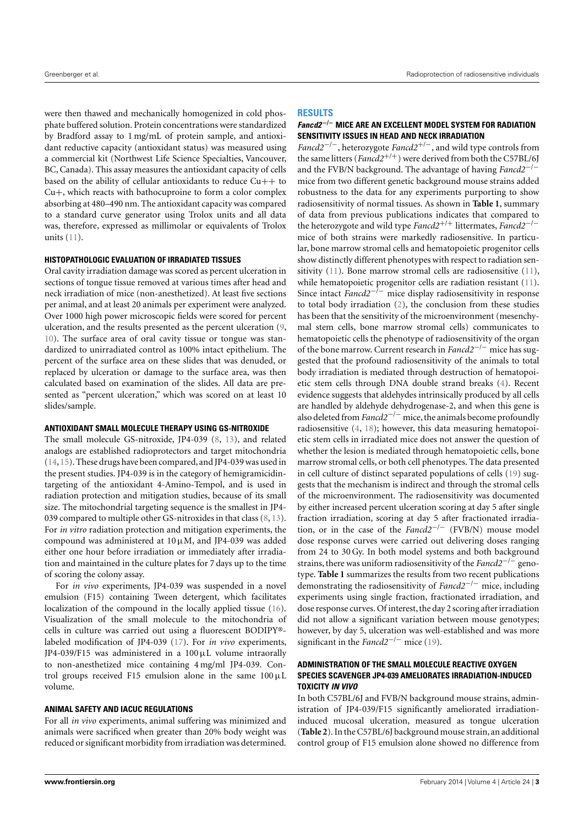were then thawed and mechanically homogenized in cold phosphate buffered solution. Protein concentrations were standardized by Bradford assay to 1 mg/mL of protein sample, and antioxidant reductive capacity (antioxidant status) was measured using a commercial kit (Northwest Life Science Specialties, Vancouver, BC, Canada). This assay measures the antioxidant capacity of cells based on the ability of cellular antioxidants to reduce  $Cu++$  to Cu+, which reacts with bathocuproine to form a color complex absorbing at 480–490 nm. The antioxidant capacity was compared to a standard curve generator using Trolox units and all data was, therefore, expressed as millimolar or equivalents of Trolox units [\(11\)](#page-7-10).

## **HISTOPATHOLOGIC EVALUATION OF IRRADIATED TISSUES**

Oral cavity irradiation damage was scored as percent ulceration in sections of tongue tissue removed at various times after head and neck irradiation of mice (non-anesthetized). At least five sections per animal, and at least 20 animals per experiment were analyzed. Over 1000 high power microscopic fields were scored for percent ulceration, and the results presented as the percent ulceration [\(9,](#page-7-8) [10\)](#page-7-9). The surface area of oral cavity tissue or tongue was standardized to unirradiated control as 100% intact epithelium. The percent of the surface area on these slides that was denuded, or replaced by ulceration or damage to the surface area, was then calculated based on examination of the slides. All data are presented as "percent ulceration," which was scored on at least 10 slides/sample.

#### **ANTIOXIDANT SMALL MOLECULE THERAPY USING GS-NITROXIDE**

The small molecule GS-nitroxide, JP4-039 [\(8,](#page-7-7) [13\)](#page-7-12), and related analogs are established radioprotectors and target mitochondria [\(14,](#page-7-13)[15\)](#page-7-14). These drugs have been compared, and JP4-039 was used in the present studies. JP4-039 is in the category of hemigramicidintargeting of the antioxidant 4-Amino-Tempol, and is used in radiation protection and mitigation studies, because of its small size. The mitochondrial targeting sequence is the smallest in JP4- 039 compared to multiple other GS-nitroxides in that class [\(8,](#page-7-7) [13\)](#page-7-12). For *in vitro* radiation protection and mitigation experiments, the compound was administered at  $10 \mu M$ , and JP4-039 was added either one hour before irradiation or immediately after irradiation and maintained in the culture plates for 7 days up to the time of scoring the colony assay.

For *in vivo* experiments, JP4-039 was suspended in a novel emulsion (F15) containing Tween detergent, which facilitates localization of the compound in the locally applied tissue [\(16\)](#page-7-15). Visualization of the small molecule to the mitochondria of cells in culture was carried out using a fluorescent BODIPY® labeled modification of JP4-039 [\(17\)](#page-7-16). For *in vivo* experiments, JP4-039/F15 was administered in a 100µL volume intraorally to non-anesthetized mice containing 4 mg/ml JP4-039. Control groups received F15 emulsion alone in the same  $100 \mu L$ volume.

## **ANIMAL SAFETY AND IACUC REGULATIONS**

For all *in vivo* experiments, animal suffering was minimized and animals were sacrificed when greater than 20% body weight was reduced or significant morbidity from irradiation was determined.

#### **RESULTS**

## **Fancd2** <sup>−</sup>**/**<sup>−</sup> **MICE ARE AN EXCELLENT MODEL SYSTEM FOR RADIATION SENSITIVITY ISSUES IN HEAD AND NECK IRRADIATION**

*Fancd2*−/−, heterozygote *Fancd2*+/−, and wild type controls from the same litters (*Fancd2*+/+) were derived from both the C57BL/6J and the FVB/N background. The advantage of having *Fancd2*−/<sup>−</sup> mice from two different genetic background mouse strains added robustness to the data for any experiments purporting to show radiosensitivity of normal tissues. As shown in **[Table 1](#page-3-0)**, summary of data from previous publications indicates that compared to the heterozygote and wild type *Fancd2*+/<sup>+</sup> littermates, *Fancd2*−/<sup>−</sup> mice of both strains were markedly radiosensitive. In particular, bone marrow stromal cells and hematopoietic progenitor cells show distinctly different phenotypes with respect to radiation sensitivity [\(11\)](#page-7-10). Bone marrow stromal cells are radiosensitive [\(11\)](#page-7-10), while hematopoietic progenitor cells are radiation resistant [\(11\)](#page-7-10). Since intact *Fancd2*−/<sup>−</sup> mice display radiosensitivity in response to total body irradiation [\(2\)](#page-7-5), the conclusion from these studies has been that the sensitivity of the microenvironment (mesenchymal stem cells, bone marrow stromal cells) communicates to hematopoietic cells the phenotype of radiosensitivity of the organ of the bone marrow. Current research in *Fancd2*−/<sup>−</sup> mice has suggested that the profound radiosensitivity of the animals to total body irradiation is mediated through destruction of hematopoietic stem cells through DNA double strand breaks [\(4\)](#page-7-1). Recent evidence suggests that aldehydes intrinsically produced by all cells are handled by aldehyde dehydrogenase-2, and when this gene is also deleted from *Fancd2<sup>−/−</sup>* mice, the animals become profoundly radiosensitive [\(4,](#page-7-1) [18\)](#page-7-17); however, this data measuring hematopoietic stem cells in irradiated mice does not answer the question of whether the lesion is mediated through hematopoietic cells, bone marrow stromal cells, or both cell phenotypes. The data presented in cell culture of distinct separated populations of cells [\(19\)](#page-7-18) suggests that the mechanism is indirect and through the stromal cells of the microenvironment. The radiosensitivity was documented by either increased percent ulceration scoring at day 5 after single fraction irradiation, scoring at day 5 after fractionated irradiation, or in the case of the *Fancd2*−/<sup>−</sup> (FVB/N) mouse model dose response curves were carried out delivering doses ranging from 24 to 30 Gy. In both model systems and both background strains, there was uniform radiosensitivity of the *Fancd2*−/<sup>−</sup> genotype. **[Table 1](#page-3-0)** summarizes the results from two recent publications demonstrating the radiosensitivity of *Fancd2*−/<sup>−</sup> mice, including experiments using single fraction, fractionated irradiation, and dose response curves. Of interest, the day 2 scoring after irradiation did not allow a significant variation between mouse genotypes; however, by day 5, ulceration was well-established and was more significant in the *Fancd*2<sup>−/−</sup> mice [\(19\)](#page-7-18).

# **ADMINISTRATION OF THE SMALL MOLECULE REACTIVE OXYGEN SPECIES SCAVENGER JP4-039 AMELIORATES IRRADIATION-INDUCED TOXICITY IN VIVO**

In both C57BL/6J and FVB/N background mouse strains, administration of JP4-039/F15 significantly ameliorated irradiationinduced mucosal ulceration, measured as tongue ulceration (**[Table 2](#page-3-1)**). In the C57BL/6J background mouse strain, an additional control group of F15 emulsion alone showed no difference from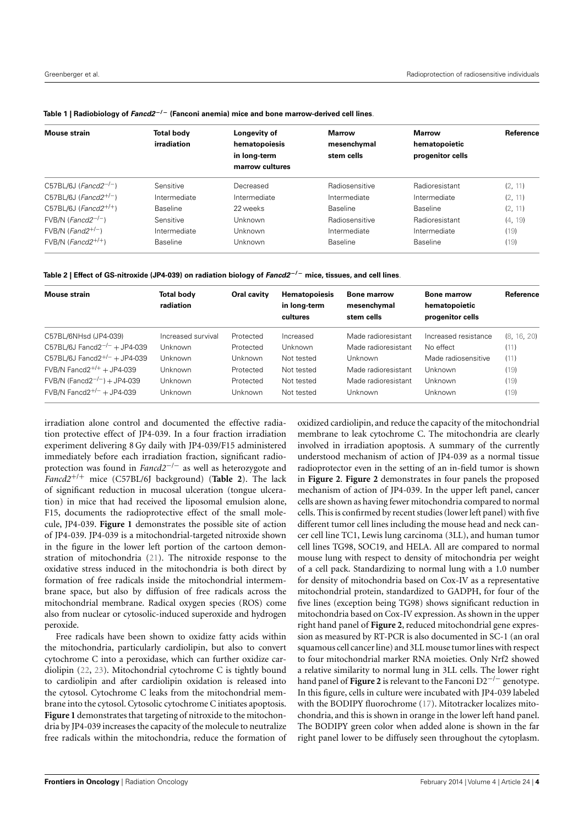<span id="page-3-0"></span>

|  |  | Table 1   Radiobiology of $Fancd2^{-/-}$ (Fanconi anemia) mice and bone marrow-derived cell lines. |
|--|--|----------------------------------------------------------------------------------------------------|
|--|--|----------------------------------------------------------------------------------------------------|

| Mouse strain                        | <b>Total body</b><br>irradiation | Longevity of<br>hematopoiesis | <b>Marrow</b><br>mesenchymal | <b>Marrow</b><br>hematopoietic | Reference |
|-------------------------------------|----------------------------------|-------------------------------|------------------------------|--------------------------------|-----------|
|                                     |                                  | in long-term                  | stem cells                   | progenitor cells               |           |
|                                     |                                  | marrow cultures               |                              |                                |           |
| C57BL/6J ( <i>Fancd</i> $2^{-/-}$ ) | Sensitive                        | Decreased                     | Radiosensitive               | Radioresistant                 | (2, 11)   |
| C57BL/6J (Fancd $2^{+/-}$ )         | Intermediate                     | Intermediate                  | Intermediate                 | Intermediate                   | (2, 11)   |
| C57BL/6J ( $Fancd2^{+/+}$ )         | <b>Baseline</b>                  | 22 weeks                      | <b>Baseline</b>              | <b>Baseline</b>                | (2, 11)   |
| $FVB/N$ ( <i>Fancd</i> $2^{-/-}$ )  | Sensitive                        | Unknown                       | Radiosensitive               | Radioresistant                 | (4, 19)   |
| $FVB/N$ ( <i>Fand</i> $2^{+/-}$ )   | Intermediate                     | Unknown                       | Intermediate                 | Intermediate                   | (19)      |
| $FVB/N$ ( <i>Fancd</i> $2^{+/+}$ )  | <b>Baseline</b>                  | Unknown                       | <b>Baseline</b>              | <b>Baseline</b>                | (19)      |

<span id="page-3-1"></span>

| Table 2   Effect of GS-nitroxide (JP4-039) on radiation biology of <i>Fancd2<sup>–/ –</sup></i> mice, tissues, and cell lines. |  |  |  |  |  |  |  |  |  |
|--------------------------------------------------------------------------------------------------------------------------------|--|--|--|--|--|--|--|--|--|
|--------------------------------------------------------------------------------------------------------------------------------|--|--|--|--|--|--|--|--|--|

| Mouse strain                             | <b>Total body</b><br>radiation | Oral cavity | <b>Hematopoiesis</b><br>in long-term<br>cultures | <b>Bone marrow</b><br>mesenchymal<br>stem cells | <b>Bone marrow</b><br>hematopoietic<br>progenitor cells | Reference   |
|------------------------------------------|--------------------------------|-------------|--------------------------------------------------|-------------------------------------------------|---------------------------------------------------------|-------------|
| C57BL/6NHsd (JP4-039)                    | Increased survival             | Protected   | Increased                                        | Made radioresistant                             | Increased resistance                                    | (8, 16, 20) |
|                                          |                                |             |                                                  |                                                 |                                                         |             |
| C57BL/6J Fancd2 <sup>-/-</sup> + JP4-039 | Unknown                        | Protected   | Unknown                                          | Made radioresistant                             | No effect                                               | (11)        |
| C57BL/6J Fancd2 <sup>+/-</sup> + JP4-039 | Unknown                        | Unknown     | Not tested                                       | Unknown                                         | Made radiosensitive                                     | (11)        |
| FVB/N Fancd2 <sup>+/+</sup> + JP4-039    | Unknown                        | Protected   | Not tested                                       | Made radioresistant                             | Unknown                                                 | (19)        |
| FVB/N (Fancd2 <sup>-/-</sup> ) + JP4-039 | Unknown                        | Protected   | Not tested                                       | Made radioresistant                             | Unknown                                                 | (19)        |
| FVB/N Fancd2 <sup>+/-</sup> + JP4-039    | Unknown                        | Unknown     | Not tested                                       | Unknown                                         | Unknown                                                 | (19)        |

irradiation alone control and documented the effective radiation protective effect of JP4-039. In a four fraction irradiation experiment delivering 8 Gy daily with JP4-039/F15 administered immediately before each irradiation fraction, significant radioprotection was found in *Fancd2*−/<sup>−</sup> as well as heterozygote and *Fancd2*+/<sup>+</sup> mice (C57BL/6J background) (**[Table 2](#page-3-1)**). The lack of significant reduction in mucosal ulceration (tongue ulceration) in mice that had received the liposomal emulsion alone, F15, documents the radioprotective effect of the small molecule, JP4-039. **[Figure 1](#page-4-0)** demonstrates the possible site of action of JP4-039. JP4-039 is a mitochondrial-targeted nitroxide shown in the figure in the lower left portion of the cartoon demonstration of mitochondria [\(21\)](#page-7-20). The nitroxide response to the oxidative stress induced in the mitochondria is both direct by formation of free radicals inside the mitochondrial intermembrane space, but also by diffusion of free radicals across the mitochondrial membrane. Radical oxygen species (ROS) come also from nuclear or cytosolic-induced superoxide and hydrogen peroxide.

Free radicals have been shown to oxidize fatty acids within the mitochondria, particularly cardiolipin, but also to convert cytochrome C into a peroxidase, which can further oxidize cardiolipin [\(22,](#page-7-21) [23\)](#page-7-22). Mitochondrial cytochrome C is tightly bound to cardiolipin and after cardiolipin oxidation is released into the cytosol. Cytochrome C leaks from the mitochondrial membrane into the cytosol. Cytosolic cytochrome C initiates apoptosis. **[Figure 1](#page-4-0)** demonstrates that targeting of nitroxide to the mitochondria by JP4-039 increases the capacity of the molecule to neutralize free radicals within the mitochondria, reduce the formation of

oxidized cardiolipin, and reduce the capacity of the mitochondrial membrane to leak cytochrome C. The mitochondria are clearly involved in irradiation apoptosis. A summary of the currently understood mechanism of action of JP4-039 as a normal tissue radioprotector even in the setting of an in-field tumor is shown in **[Figure 2](#page-5-0)**. **[Figure 2](#page-5-0)** demonstrates in four panels the proposed mechanism of action of JP4-039. In the upper left panel, cancer cells are shown as having fewer mitochondria compared to normal cells. This is confirmed by recent studies (lower left panel) with five different tumor cell lines including the mouse head and neck cancer cell line TC1, Lewis lung carcinoma (3LL), and human tumor cell lines TG98, SOC19, and HELA. All are compared to normal mouse lung with respect to density of mitochondria per weight of a cell pack. Standardizing to normal lung with a 1.0 number for density of mitochondria based on Cox-IV as a representative mitochondrial protein, standardized to GADPH, for four of the five lines (exception being TG98) shows significant reduction in mitochondria based on Cox-IV expression. As shown in the upper right hand panel of **[Figure 2](#page-5-0)**, reduced mitochondrial gene expression as measured by RT-PCR is also documented in SC-1 (an oral squamous cell cancer line) and 3LL mouse tumor lines with respect to four mitochondrial marker RNA moieties. Only Nrf2 showed a relative similarity to normal lung in 3LL cells. The lower right hand panel of **[Figure 2](#page-5-0)** is relevant to the Fanconi D2−/<sup>−</sup> genotype. In this figure, cells in culture were incubated with JP4-039 labeled with the BODIPY fluorochrome [\(17\)](#page-7-16). Mitotracker localizes mitochondria, and this is shown in orange in the lower left hand panel. The BODIPY green color when added alone is shown in the far right panel lower to be diffusely seen throughout the cytoplasm.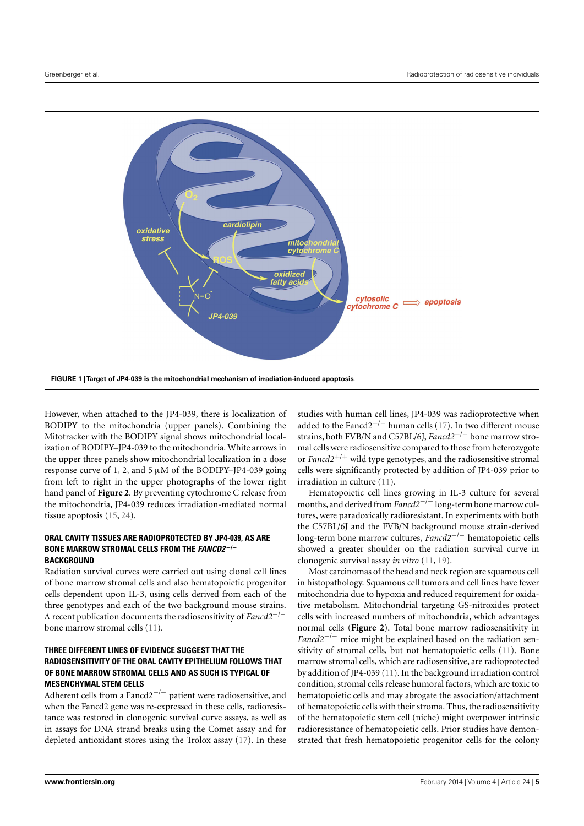

<span id="page-4-0"></span>However, when attached to the JP4-039, there is localization of BODIPY to the mitochondria (upper panels). Combining the Mitotracker with the BODIPY signal shows mitochondrial localization of BODIPY–JP4-039 to the mitochondria. White arrows in the upper three panels show mitochondrial localization in a dose response curve of 1, 2, and  $5 \mu M$  of the BODIPY–JP4-039 going from left to right in the upper photographs of the lower right hand panel of **[Figure 2](#page-5-0)**. By preventing cytochrome C release from the mitochondria, JP4-039 reduces irradiation-mediated normal tissue apoptosis [\(15,](#page-7-14) [24\)](#page-7-23).

## **ORAL CAVITY TISSUES ARE RADIOPROTECTED BY JP4-039, AS ARE BONE MARROW STROMAL CELLS FROM THE FANCD2** <sup>−</sup>**/**<sup>−</sup> **BACKGROUND**

Radiation survival curves were carried out using clonal cell lines of bone marrow stromal cells and also hematopoietic progenitor cells dependent upon IL-3, using cells derived from each of the three genotypes and each of the two background mouse strains. A recent publication documents the radiosensitivity of *Fancd2*−/<sup>−</sup> bone marrow stromal cells [\(11\)](#page-7-10).

# **THREE DIFFERENT LINES OF EVIDENCE SUGGEST THAT THE RADIOSENSITIVITY OF THE ORAL CAVITY EPITHELIUM FOLLOWS THAT OF BONE MARROW STROMAL CELLS AND AS SUCH IS TYPICAL OF MESENCHYMAL STEM CELLS**

Adherent cells from a Fancd2<sup>-/-</sup> patient were radiosensitive, and when the Fancd2 gene was re-expressed in these cells, radioresistance was restored in clonogenic survival curve assays, as well as in assays for DNA strand breaks using the Comet assay and for depleted antioxidant stores using the Trolox assay [\(17\)](#page-7-16). In these

studies with human cell lines, JP4-039 was radioprotective when added to the Fancd2<sup> $-/-$ </sup> human cells [\(17\)](#page-7-16). In two different mouse strains, both FVB/N and C57BL/6J, *Fancd2*−/<sup>−</sup> bone marrow stromal cells were radiosensitive compared to those from heterozygote or *Fancd2*+/<sup>+</sup> wild type genotypes, and the radiosensitive stromal cells were significantly protected by addition of JP4-039 prior to irradiation in culture [\(11\)](#page-7-10).

Hematopoietic cell lines growing in IL-3 culture for several months, and derived from *Fancd2<sup>−/−</sup>* long-term bone marrow cultures, were paradoxically radioresistant. In experiments with both the C57BL/6J and the FVB/N background mouse strain-derived long-term bone marrow cultures, *Fancd2*−/<sup>−</sup> hematopoietic cells showed a greater shoulder on the radiation survival curve in clonogenic survival assay *in vitro* [\(11,](#page-7-10) [19\)](#page-7-18).

Most carcinomas of the head and neck region are squamous cell in histopathology. Squamous cell tumors and cell lines have fewer mitochondria due to hypoxia and reduced requirement for oxidative metabolism. Mitochondrial targeting GS-nitroxides protect cells with increased numbers of mitochondria, which advantages normal cells (**[Figure 2](#page-5-0)**). Total bone marrow radiosensitivity in *Fancd2<sup>−/−</sup>* mice might be explained based on the radiation sensitivity of stromal cells, but not hematopoietic cells [\(11\)](#page-7-10). Bone marrow stromal cells, which are radiosensitive, are radioprotected by addition of JP4-039 [\(11\)](#page-7-10). In the background irradiation control condition, stromal cells release humoral factors, which are toxic to hematopoietic cells and may abrogate the association/attachment of hematopoietic cells with their stroma. Thus, the radiosensitivity of the hematopoietic stem cell (niche) might overpower intrinsic radioresistance of hematopoietic cells. Prior studies have demonstrated that fresh hematopoietic progenitor cells for the colony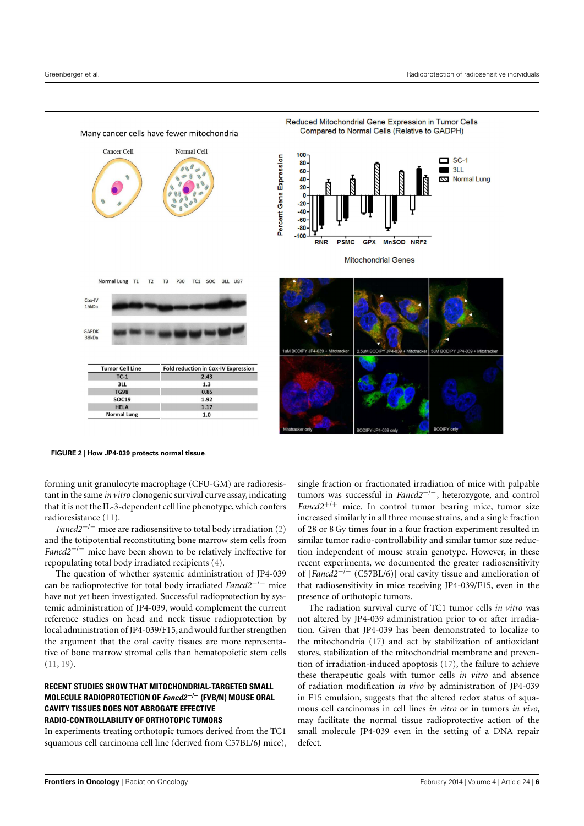

<span id="page-5-0"></span>forming unit granulocyte macrophage (CFU-GM) are radioresistant in the same *in vitro* clonogenic survival curve assay, indicating that it is not the IL-3-dependent cell line phenotype, which confers radioresistance [\(11\)](#page-7-10).

*Fancd2<sup>−/−</sup>* mice are radiosensitive to total body irradiation [\(2\)](#page-7-5) and the totipotential reconstituting bone marrow stem cells from *Fancd2<sup>−/−</sup>* mice have been shown to be relatively ineffective for repopulating total body irradiated recipients [\(4\)](#page-7-1).

The question of whether systemic administration of JP4-039 can be radioprotective for total body irradiated *Fancd2*−/<sup>−</sup> mice have not yet been investigated. Successful radioprotection by systemic administration of JP4-039, would complement the current reference studies on head and neck tissue radioprotection by local administration of JP4-039/F15, and would further strengthen the argument that the oral cavity tissues are more representative of bone marrow stromal cells than hematopoietic stem cells  $(11, 19)$  $(11, 19)$  $(11, 19)$ .

# **RECENT STUDIES SHOW THAT MITOCHONDRIAL-TARGETED SMALL MOLECULE RADIOPROTECTION OF Fancd2** <sup>−</sup>**/**<sup>−</sup> **(FVB/N) MOUSE ORAL CAVITY TISSUES DOES NOT ABROGATE EFFECTIVE RADIO-CONTROLLABILITY OF ORTHOTOPIC TUMORS**

In experiments treating orthotopic tumors derived from the TC1 squamous cell carcinoma cell line (derived from C57BL/6J mice),

single fraction or fractionated irradiation of mice with palpable tumors was successful in *Fancd2*−/−, heterozygote, and control *Fancd2*+/<sup>+</sup> mice. In control tumor bearing mice, tumor size increased similarly in all three mouse strains, and a single fraction of 28 or 8 Gy times four in a four fraction experiment resulted in similar tumor radio-controllability and similar tumor size reduction independent of mouse strain genotype. However, in these recent experiments, we documented the greater radiosensitivity of [*Fancd2*−/<sup>−</sup> (C57BL/6)] oral cavity tissue and amelioration of that radiosensitivity in mice receiving JP4-039/F15, even in the presence of orthotopic tumors.

The radiation survival curve of TC1 tumor cells *in vitro* was not altered by JP4-039 administration prior to or after irradiation. Given that JP4-039 has been demonstrated to localize to the mitochondria [\(17\)](#page-7-16) and act by stabilization of antioxidant stores, stabilization of the mitochondrial membrane and prevention of irradiation-induced apoptosis [\(17\)](#page-7-16), the failure to achieve these therapeutic goals with tumor cells *in vitro* and absence of radiation modification *in vivo* by administration of JP4-039 in F15 emulsion, suggests that the altered redox status of squamous cell carcinomas in cell lines *in vitro* or in tumors *in vivo*, may facilitate the normal tissue radioprotective action of the small molecule JP4-039 even in the setting of a DNA repair defect.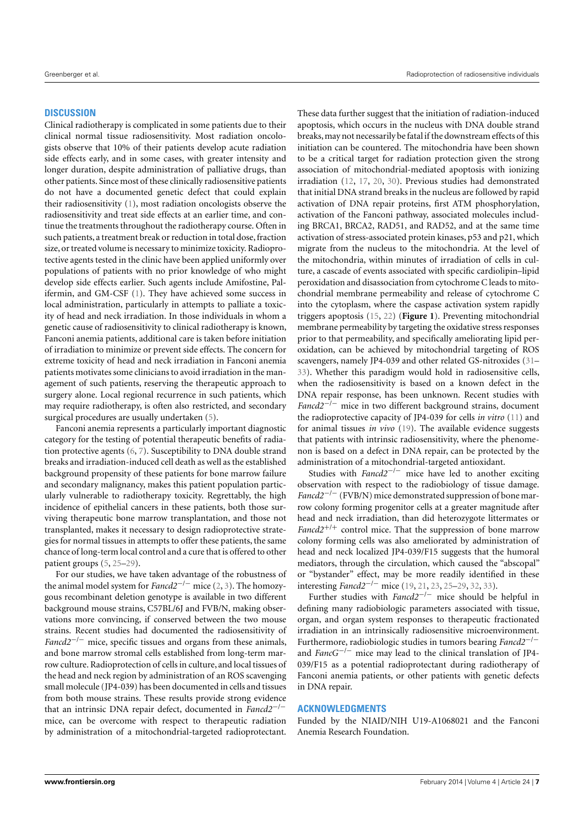#### **DISCUSSION**

Clinical radiotherapy is complicated in some patients due to their clinical normal tissue radiosensitivity. Most radiation oncologists observe that 10% of their patients develop acute radiation side effects early, and in some cases, with greater intensity and longer duration, despite administration of palliative drugs, than other patients. Since most of these clinically radiosensitive patients do not have a documented genetic defect that could explain their radiosensitivity [\(1\)](#page-7-0), most radiation oncologists observe the radiosensitivity and treat side effects at an earlier time, and continue the treatments throughout the radiotherapy course. Often in such patients, a treatment break or reduction in total dose, fraction size, or treated volume is necessary to minimize toxicity. Radioprotective agents tested in the clinic have been applied uniformly over populations of patients with no prior knowledge of who might develop side effects earlier. Such agents include Amifostine, Palifermin, and GM-CSF [\(1\)](#page-7-0). They have achieved some success in local administration, particularly in attempts to palliate a toxicity of head and neck irradiation. In those individuals in whom a genetic cause of radiosensitivity to clinical radiotherapy is known, Fanconi anemia patients, additional care is taken before initiation of irradiation to minimize or prevent side effects. The concern for extreme toxicity of head and neck irradiation in Fanconi anemia patients motivates some clinicians to avoid irradiation in the management of such patients, reserving the therapeutic approach to surgery alone. Local regional recurrence in such patients, which may require radiotherapy, is often also restricted, and secondary surgical procedures are usually undertaken [\(5\)](#page-7-2).

Fanconi anemia represents a particularly important diagnostic category for the testing of potential therapeutic benefits of radiation protective agents [\(6,](#page-7-4) [7\)](#page-7-3). Susceptibility to DNA double strand breaks and irradiation-induced cell death as well as the established background propensity of these patients for bone marrow failure and secondary malignancy, makes this patient population particularly vulnerable to radiotherapy toxicity. Regrettably, the high incidence of epithelial cancers in these patients, both those surviving therapeutic bone marrow transplantation, and those not transplanted, makes it necessary to design radioprotective strategies for normal tissues in attempts to offer these patients, the same chance of long-term local control and a cure that is offered to other patient groups [\(5,](#page-7-2) [25](#page-7-24)[–29\)](#page-7-25).

For our studies, we have taken advantage of the robustness of the animal model system for *Fancd2*−/<sup>−</sup> mice [\(2,](#page-7-5) [3\)](#page-7-6). The homozygous recombinant deletion genotype is available in two different background mouse strains, C57BL/6J and FVB/N, making observations more convincing, if conserved between the two mouse strains. Recent studies had documented the radiosensitivity of *Fancd2<sup>−/−</sup>* mice, specific tissues and organs from these animals, and bone marrow stromal cells established from long-term marrow culture. Radioprotection of cells in culture, and local tissues of the head and neck region by administration of an ROS scavenging small molecule (JP4-039) has been documented in cells and tissues from both mouse strains. These results provide strong evidence that an intrinsic DNA repair defect, documented in *Fancd2*−/<sup>−</sup> mice, can be overcome with respect to therapeutic radiation by administration of a mitochondrial-targeted radioprotectant.

These data further suggest that the initiation of radiation-induced apoptosis, which occurs in the nucleus with DNA double strand breaks,may not necessarily be fatal if the downstream effects of this initiation can be countered. The mitochondria have been shown to be a critical target for radiation protection given the strong association of mitochondrial-mediated apoptosis with ionizing irradiation [\(12,](#page-7-11) [17,](#page-7-16) [20,](#page-7-19) [30\)](#page-7-26). Previous studies had demonstrated that initial DNA strand breaks in the nucleus are followed by rapid activation of DNA repair proteins, first ATM phosphorylation, activation of the Fanconi pathway, associated molecules including BRCA1, BRCA2, RAD51, and RAD52, and at the same time activation of stress-associated protein kinases, p53 and p21, which migrate from the nucleus to the mitochondria. At the level of the mitochondria, within minutes of irradiation of cells in culture, a cascade of events associated with specific cardiolipin–lipid peroxidation and disassociation from cytochrome C leads to mitochondrial membrane permeability and release of cytochrome C into the cytoplasm, where the caspase activation system rapidly triggers apoptosis [\(15,](#page-7-14) [22\)](#page-7-21) (**[Figure 1](#page-4-0)**). Preventing mitochondrial membrane permeability by targeting the oxidative stress responses prior to that permeability, and specifically ameliorating lipid peroxidation, can be achieved by mitochondrial targeting of ROS scavengers, namely JP4-039 and other related GS-nitroxides [\(31–](#page-7-27) [33\)](#page-7-28). Whether this paradigm would hold in radiosensitive cells, when the radiosensitivity is based on a known defect in the DNA repair response, has been unknown. Recent studies with *Fancd2*−/<sup>−</sup> mice in two different background strains, document the radioprotective capacity of JP4-039 for cells *in vitro* [\(11\)](#page-7-10) and for animal tissues *in vivo* [\(19\)](#page-7-18). The available evidence suggests that patients with intrinsic radiosensitivity, where the phenomenon is based on a defect in DNA repair, can be protected by the administration of a mitochondrial-targeted antioxidant.

Studies with *Fancd2*−/<sup>−</sup> mice have led to another exciting observation with respect to the radiobiology of tissue damage. *Fancd2<sup>−/−</sup>* (FVB/N) mice demonstrated suppression of bone marrow colony forming progenitor cells at a greater magnitude after head and neck irradiation, than did heterozygote littermates or *Fancd2*+/<sup>+</sup> control mice. That the suppression of bone marrow colony forming cells was also ameliorated by administration of head and neck localized JP4-039/F15 suggests that the humoral mediators, through the circulation, which caused the "abscopal" or "bystander" effect, may be more readily identified in these interesting *Fancd2*−/<sup>−</sup> mice [\(19,](#page-7-18) [21,](#page-7-20) [23,](#page-7-22) [25–](#page-7-24)[29,](#page-7-25) [32,](#page-7-29) [33\)](#page-7-28).

Further studies with *Fancd2*−/<sup>−</sup> mice should be helpful in defining many radiobiologic parameters associated with tissue, organ, and organ system responses to therapeutic fractionated irradiation in an intrinsically radiosensitive microenvironment. Furthermore, radiobiologic studies in tumors bearing *Fancd2*−/<sup>−</sup> and *FancG*−/<sup>−</sup> mice may lead to the clinical translation of JP4- 039/F15 as a potential radioprotectant during radiotherapy of Fanconi anemia patients, or other patients with genetic defects in DNA repair.

## **ACKNOWLEDGMENTS**

Funded by the NIAID/NIH U19-A1068021 and the Fanconi Anemia Research Foundation.